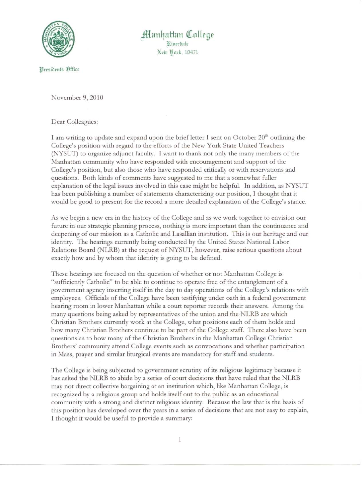

lJrpsibrnts (f)ffirr

## ~mt~,dhtlt **C1IolIege** Ritterdale New Pork, 10471

November 9, 2010

Dear Colleagues:

I am writing to update and expand upon the brief letter I sent on October 20<sup>th</sup> outlining the College's position with regard to the efforts of the New York State United Teachers (NYSUT) to organize adjunct faculty. I want to thank not only the many members of the Manhattan community who have responded with encouragement and support of the College's position, but also those who have responded critically or with reservations and questions. Both kinds of comments have suggested to me that a somewhat fuller explanation of the legal issues involved in this case might be helpful. In addition, as NYSUT has been publishing a number of statements characterizing our position, I thought that it would be good to present for the record a more detailed explanation of the College's stance.

As we begin a new era in the history of the College and as we work together to envision our future in our strategic planning process, nothing is more important than the continuance and deepening of our mission as a Catholic and Lasallian institution. This is our heritage and our identity. The hearings currently being conducted by the United States National Labor Relations Board (NLRB) at the request of YSUT, however, raise serious questions about exactly how and by whom that identity is going to be defined.

These hearings are focused on the question of whether or not Manhattan College is "sufficiently Catholic" to be able to continue to operate free of the entanglement of a government agency inserting itself in the day to day operations of the College's relations with employees. Officials of the College have been testifying under oath in a federal government hearing room in lower Manhattan while a court reporter records their answers. Among the many questions being asked by representatives of the union and the NLRB are which Christian Brothers currently work at the College, what positions each of them holds and how many Christian Brothers continue to be part of the College staff. There also have been questions as to how many of the Christian Brothers in the Manhattan College Christian Brothers' community attend College events such as convocations and whether participation in Mass, prayer and similar liturgical events are mandatory for staff and students.

The College is being subjected to government scrutiny of its religious legitimacy because it has asked the NLRB to abide by a series of court decisions that have ruled that the NLRB may not direct collective bargaining at an institution which, like Manhattan College, is recognized by a religious group and holds itself out to the public as an educational community with a strong and distinct religious identity. Because the law that is the basis of this position has developed over the years in a series of decisions that are not easy to explain, I thought it would be useful to provide a summary: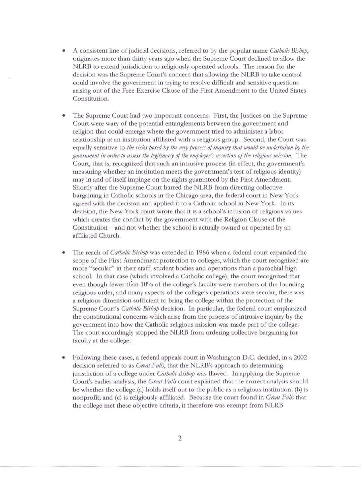- A consistent line of judicial decisions, referred to by the popular name *Catholic Bishop,* originates more than thirty years ago when the Supreme Court declined to allow the NLRB to extend jurisdiction to religiously operated schools. The reason for the decision was the Supreme Court's concern that allowing the NLRB to take control could involve the government in trying to resolve difficult and sensitive questions arising out of the Free Exercise Clause of the First Amendment to the United States Constitution.
- The Supreme Court had two important concerns. First, the Justices on the Supreme Court were wary of the potential entanglements between the government and religion that could emerge where the government tried to administer a labor relationship at an institution affiliated with a religious group. Second, the Court was equally sensitive to *the risks posed* b*the veryprocess of inquiry that would be undertaken* b*the government in order to assess the legitimary of the employer's assertion of the religious mission.* The Court, that is, recognized that such an intrusive process (in effect, the government's measuring whether an institution meets the government's test of religious identity) may in and of itself impinge on the rights guaranteed by the First Amendment. Shortly after the Supreme Court barred the NLRB from directing collective bargaining in Catholic schools in the Chicago area, the federal court in New York agreed with the decision and applied it to a Catholic school in New York. In its decision, the New York court wrote that it is a school's infusion of religious values which creates the conflict by the government with the Religion Clause of the Constitution-and not whether the school is actually owned or operated by an affiliated Church.
- The reach of *Catholic Bishop* was extended in 1986 when a federal court expanded the scope of the First Amendment protection to colleges, which the court recognized are more "secular" in their staff, student bodies and operations than a parochial high school. In that case (which involved a Catholic college), the court recognized that even though fewer than 10% of the college's faculty were members of the founding religious order, and many aspects of the college's operations were secular, there was a religious dimension sufficient to bring the college within the protection of the Supreme Court's *Catholic Bishop* decision. In particular, the federal court emphasized the constitutional concerns which arise from the process of intrusive inquiry by the government into how the Catholic religious mission was made part of the college. The court accordingly stopped the NLRB from ordering collective bargaining for faculty at the college.
- Following these cases, a federal appeals court in Washington D.C. decided, in a 2002 decision referred to as *Great Falls,* that the NLRB's approach to determining jurisdiction of a college under *Catholic Bishop* was flawed. In applying the Supreme Court's earlier analysis, the *Great Falls* court explained that the correct analysis should be whether the college (a) holds itself out to the public as a religious institution; (b) is nonprofit; and (c) is religiously-affiliated. Because the court found in *Great Falls* that the college met these objective criteria, it therefore was exempt from NLRB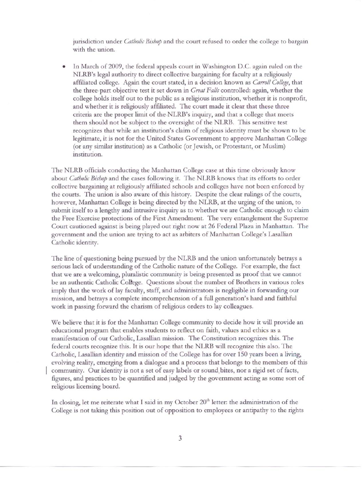jurisdiction under *Catholic Bishop* and the court refused to order the college to bargain with the union.

In March of 2009, the federal appeals court in Washington D.C. again ruled on the NLRB's legal authority to direct collective bargaining for faculty at a religiously affiliated college. Again the court stated, in a decision known as *Carroll College,*that the three-part objective test it set down in *Great Falls* controlled: again, whether the college holds itself out to the public as a religious institution, whether it is nonprofit, and whether it is religiously affiliated. The court made it clear that these three criteria are the proper limit of the NLRB's inquiry, and that a college that meets them should not be subject to the oversight of the NLRB. This sensitive test recognizes that while an institution's claim of religious identity must be shown to be legitimate, it is not for the United States Government to approve Manhattan College (or any similar institution) as a Catholic (or Jewish, or Protestant, or Muslim) institution.

The NLRB officials conducting the Manhattan College case at this time obviously know about *Catholic Bishop* and the cases following it. The NLRB knows that its efforts to order collective bargaining at religiously affiliated schools and colleges have not been enforced by the courts. The union is also aware of this history. Despite the clear rulings of the courts, however, Manhattan College is being directed by the NLRB, at the urging of the union, to submit itself to a lengthy and intrusive inquiry as to whether we are Catholic enough to claim the Free Exercise protections of the First Amendment. The very entanglement the Supreme Court cautioned against is being played out right now at 26 Federal Plaza in Manhattan. The government and the union are trying to act as arbiters of Manhattan College's Lasallian Catholic identity.

The line of questioning being pursued by the NLRB and the union unfortunately betrays a serious lack of understanding of the Catholic nature of the College. For example, the fact that we are a welcoming, pluralistic community is being presented as proof that we cannot be an authentic Catholic College. Questions about the number of Brothers in various roles imply that the work of lay faculty, staff, and administrators is negligible in forwarding our mission, and betrays a complete incomprehension of a full generation's hard and faithful work in passing forward the charism of religious orders to lay colleagues.

We believe that it is for the Manhattan College community to decide how it will provide an educational program that enables students to reflect on faith, values and ethics as a manifestation of our Catholic, Lasallian mission. The Constitution recognizes this. The federal courts recognize this. It is our hope that the NLRB will recognize this also. The Catholic, Lasallian identity and mission of the College has for over 150 years been a living, evolving reality, emerging from a dialogue and a process that belongs to the members of this community. Our identity is not a set of easy labels or sound\_bites, nor a rigid set of facts, figures, and practices to be quantified and judged by the government acting as some sort of religious licensing board.

In closing, let me reiterate what I said in my October  $20<sup>th</sup>$  letter: the administration of the College is not taking this position out of opposition to employees or antipathy to the rights